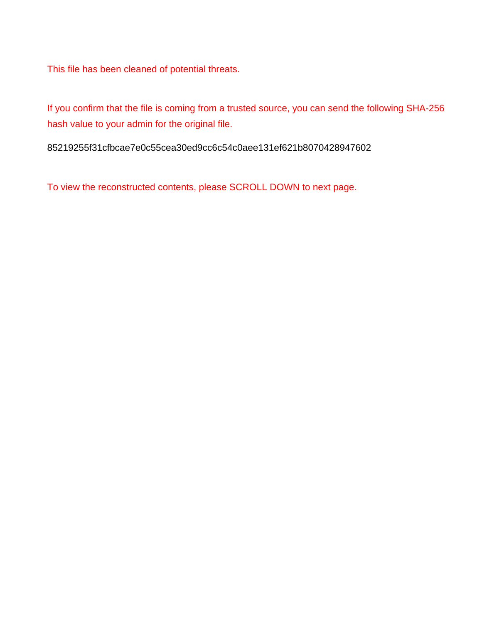This file has been cleaned of potential threats.

If you confirm that the file is coming from a trusted source, you can send the following SHA-256 hash value to your admin for the original file.

85219255f31cfbcae7e0c55cea30ed9cc6c54c0aee131ef621b8070428947602

To view the reconstructed contents, please SCROLL DOWN to next page.